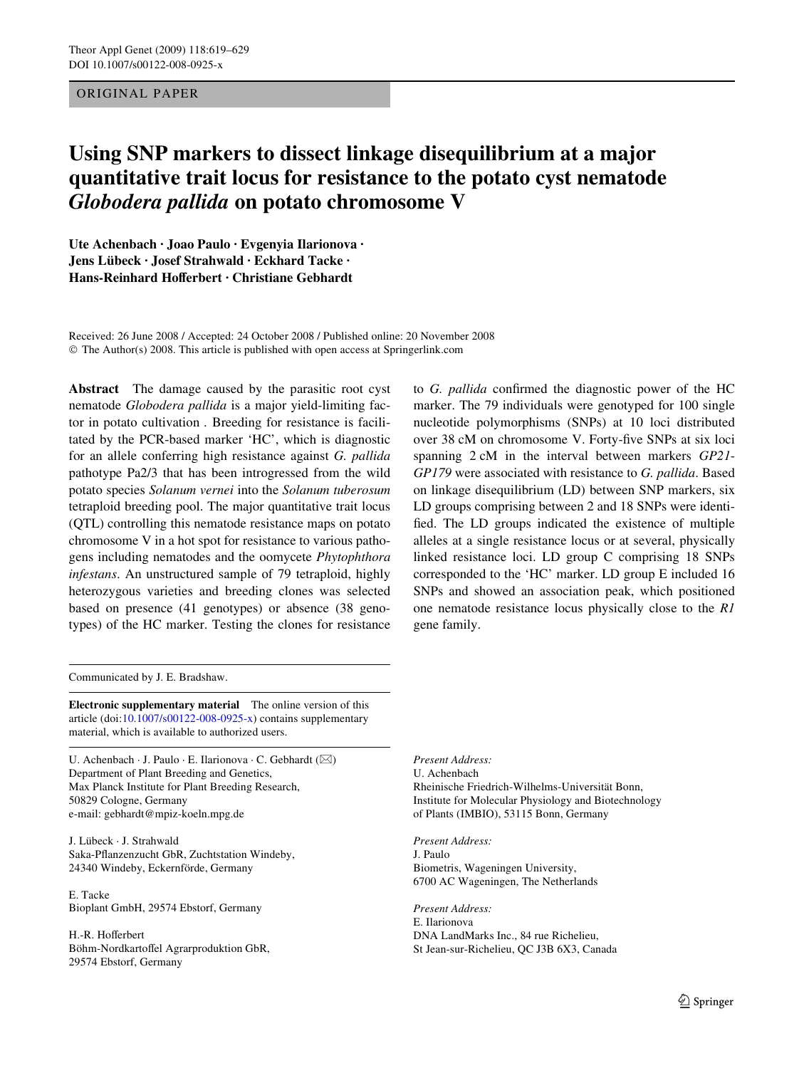## ORIGINAL PAPER

# **Using SNP markers to dissect linkage disequilibrium at a major quantitative trait locus for resistance to the potato cyst nematode**  *Globodera pallida* **on potato chromosome V**

**Ute Achenbach · Joao Paulo · Evgenyia Ilarionova · Jens Lübeck · Josef Strahwald · Eckhard Tacke · Hans-Reinhard Hofferbert · Christiane Gebhardt** 

Received: 26 June 2008 / Accepted: 24 October 2008 / Published online: 20 November 2008 © The Author(s) 2008. This article is published with open access at Springerlink.com

**Abstract** The damage caused by the parasitic root cyst nematode *Globodera pallida* is a major yield-limiting factor in potato cultivation *.* Breeding for resistance is facilitated by the PCR-based marker 'HC', which is diagnostic for an allele conferring high resistance against *G. pallida* pathotype Pa2/3 that has been introgressed from the wild potato species *Solanum vernei* into the *Solanum tuberosum* tetraploid breeding pool. The major quantitative trait locus (QTL) controlling this nematode resistance maps on potato chromosome V in a hot spot for resistance to various pathogens including nematodes and the oomycete *Phytophthora infestans*. An unstructured sample of 79 tetraploid, highly heterozygous varieties and breeding clones was selected based on presence (41 genotypes) or absence (38 genotypes) of the HC marker. Testing the clones for resistance to *G. pallida* confirmed the diagnostic power of the HC marker. The 79 individuals were genotyped for 100 single nucleotide polymorphisms (SNPs) at 10 loci distributed over 38 cM on chromosome V. Forty-five SNPs at six loci spanning 2 cM in the interval between markers *GP21*- *GP179* were associated with resistance to *G. pallida*. Based on linkage disequilibrium (LD) between SNP markers, six LD groups comprising between 2 and 18 SNPs were identified. The LD groups indicated the existence of multiple alleles at a single resistance locus or at several, physically linked resistance loci. LD group C comprising 18 SNPs corresponded to the 'HC' marker. LD group E included 16 SNPs and showed an association peak, which positioned one nematode resistance locus physically close to the *R1* gene family.

Communicated by J. E. Bradshaw.

**Electronic supplementary material** The online version of this article (doi[:10.1007/s00122-008-0925-x](http://dx.doi.org/10.1007/s00122-008-0925-x)) contains supplementary material, which is available to authorized users.

U. Achenbach · J. Paulo · E. Ilarionova · C. Gebhardt ( $\boxtimes$ ) Department of Plant Breeding and Genetics, Max Planck Institute for Plant Breeding Research, 50829 Cologne, Germany e-mail: gebhardt@mpiz-koeln.mpg.de

J. Lübeck · J. Strahwald Saka-Pflanzenzucht GbR, Zuchtstation Windeby, 24340 Windeby, Eckernförde, Germany

E. Tacke Bioplant GmbH, 29574 Ebstorf, Germany

H.-R. Hofferbert Böhm-Nordkartoffel Agrarproduktion GbR, 29574 Ebstorf, Germany

*Present Address:* U. Achenbach Rheinische Friedrich-Wilhelms-Universität Bonn, Institute for Molecular Physiology and Biotechnology of Plants (IMBIO), 53115 Bonn, Germany

*Present Address:* J. Paulo Biometris, Wageningen University, 6700 AC Wageningen, The Netherlands

*Present Address:* E. Ilarionova DNA LandMarks Inc., 84 rue Richelieu, St Jean-sur-Richelieu, QC J3B 6X3, Canada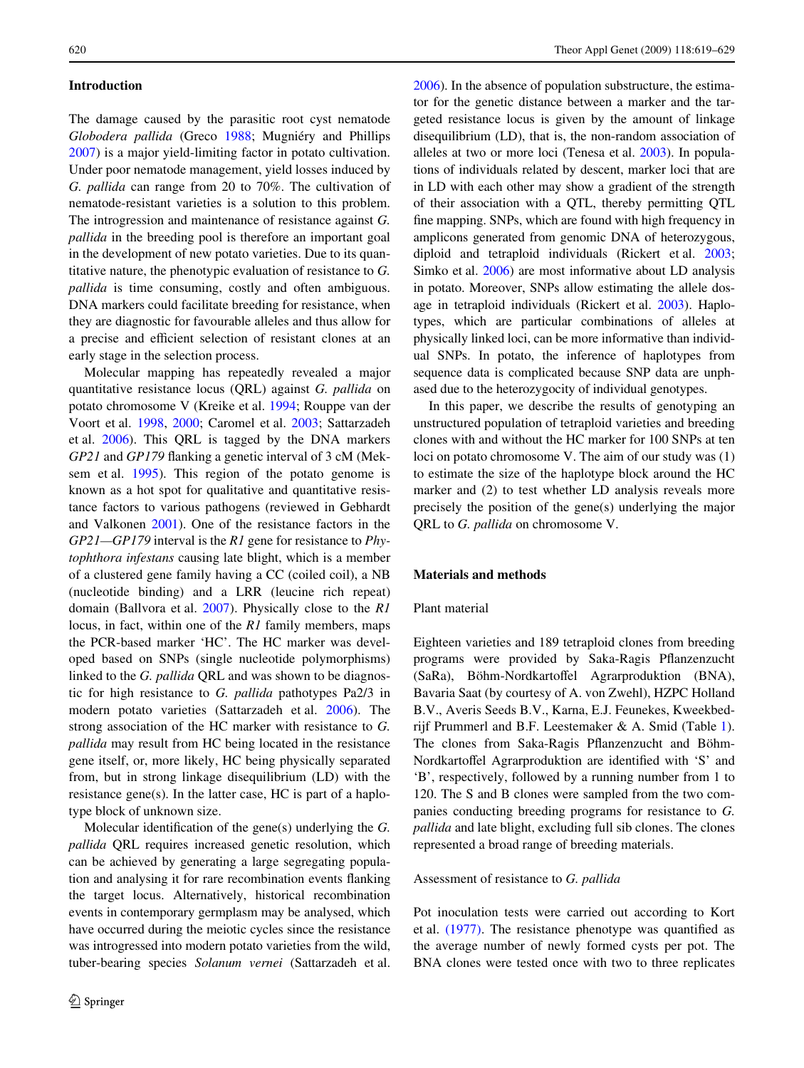# **Introduction**

The damage caused by the parasitic root cyst nematode *Globodera pallida* (Greco [1988](#page-9-0); Mugniéry and Phillips [2007](#page-9-1)) is a major yield-limiting factor in potato cultivation. Under poor nematode management, yield losses induced by *G. pallida* can range from 20 to 70%. The cultivation of nematode-resistant varieties is a solution to this problem. The introgression and maintenance of resistance against *G. pallida* in the breeding pool is therefore an important goal in the development of new potato varieties. Due to its quantitative nature, the phenotypic evaluation of resistance to *G. pallida* is time consuming, costly and often ambiguous. DNA markers could facilitate breeding for resistance, when they are diagnostic for favourable alleles and thus allow for a precise and efficient selection of resistant clones at an early stage in the selection process.

Molecular mapping has repeatedly revealed a major quantitative resistance locus (QRL) against *G. pallida* on potato chromosome V (Kreike et al. [1994](#page-9-2); Rouppe van der Voort et al. [1998](#page-9-3), [2000;](#page-9-4) Caromel et al. [2003;](#page-9-5) Sattarzadeh et al. [2006\)](#page-9-6). This QRL is tagged by the DNA markers *GP21* and *GP179* flanking a genetic interval of 3 cM (Meksem et al. [1995\)](#page-9-7). This region of the potato genome is known as a hot spot for qualitative and quantitative resistance factors to various pathogens (reviewed in Gebhardt and Valkonen [2001](#page-9-8)). One of the resistance factors in the *GP21—GP179* interval is the *R1* gene for resistance to *Phytophthora infestans* causing late blight, which is a member of a clustered gene family having a CC (coiled coil), a NB (nucleotide binding) and a LRR (leucine rich repeat) domain (Ballvora et al. [2007](#page-9-9)). Physically close to the *R1* locus, in fact, within one of the *R1* family members, maps the PCR-based marker 'HC'. The HC marker was developed based on SNPs (single nucleotide polymorphisms) linked to the *G. pallida* QRL and was shown to be diagnostic for high resistance to *G. pallida* pathotypes Pa2/3 in modern potato varieties (Sattarzadeh et al. [2006](#page-9-6)). The strong association of the HC marker with resistance to *G. pallida* may result from HC being located in the resistance gene itself, or, more likely, HC being physically separated from, but in strong linkage disequilibrium (LD) with the resistance gene(s). In the latter case, HC is part of a haplotype block of unknown size.

Molecular identification of the gene(s) underlying the *G*. *pallida* QRL requires increased genetic resolution, which can be achieved by generating a large segregating population and analysing it for rare recombination events flanking the target locus. Alternatively, historical recombination events in contemporary germplasm may be analysed, which have occurred during the meiotic cycles since the resistance was introgressed into modern potato varieties from the wild, tuber-bearing species *Solanum vernei* (Sattarzadeh et al.

[2006\)](#page-9-6). In the absence of population substructure, the estimator for the genetic distance between a marker and the targeted resistance locus is given by the amount of linkage disequilibrium (LD), that is, the non-random association of alleles at two or more loci (Tenesa et al. [2003\)](#page-10-0). In populations of individuals related by descent, marker loci that are in LD with each other may show a gradient of the strength of their association with a QTL, thereby permitting QTL fine mapping. SNPs, which are found with high frequency in amplicons generated from genomic DNA of heterozygous, diploid and tetraploid individuals (Rickert et al. [2003;](#page-9-10) Simko et al. [2006](#page-10-1)) are most informative about LD analysis in potato. Moreover, SNPs allow estimating the allele dosage in tetraploid individuals (Rickert et al. [2003\)](#page-9-10). Haplotypes, which are particular combinations of alleles at physically linked loci, can be more informative than individual SNPs. In potato, the inference of haplotypes from sequence data is complicated because SNP data are unphased due to the heterozygocity of individual genotypes.

In this paper, we describe the results of genotyping an unstructured population of tetraploid varieties and breeding clones with and without the HC marker for 100 SNPs at ten loci on potato chromosome V. The aim of our study was (1) to estimate the size of the haplotype block around the HC marker and (2) to test whether LD analysis reveals more precisely the position of the gene(s) underlying the major QRL to *G. pallida* on chromosome V.

## **Materials and methods**

### Plant material

Eighteen varieties and 189 tetraploid clones from breeding programs were provided by Saka-Ragis Pflanzenzucht (SaRa), Böhm-Nordkartoffel Agrarproduktion (BNA), Bavaria Saat (by courtesy of A. von Zwehl), HZPC Holland B.V., Averis Seeds B.V., Karna, E.J. Feunekes, Kweekbedrijf Prummerl and B.F. Leestemaker & A. Smid (Table [1](#page-2-0)). The clones from Saka-Ragis Pflanzenzucht and Böhm-Nordkartoffel Agrarproduktion are identified with 'S' and 'B', respectively, followed by a running number from 1 to 120. The S and B clones were sampled from the two companies conducting breeding programs for resistance to *G. pallida* and late blight, excluding full sib clones. The clones represented a broad range of breeding materials.

#### Assessment of resistance to *G. pallida*

Pot inoculation tests were carried out according to Kort et al.  $(1977)$ . The resistance phenotype was quantified as the average number of newly formed cysts per pot. The BNA clones were tested once with two to three replicates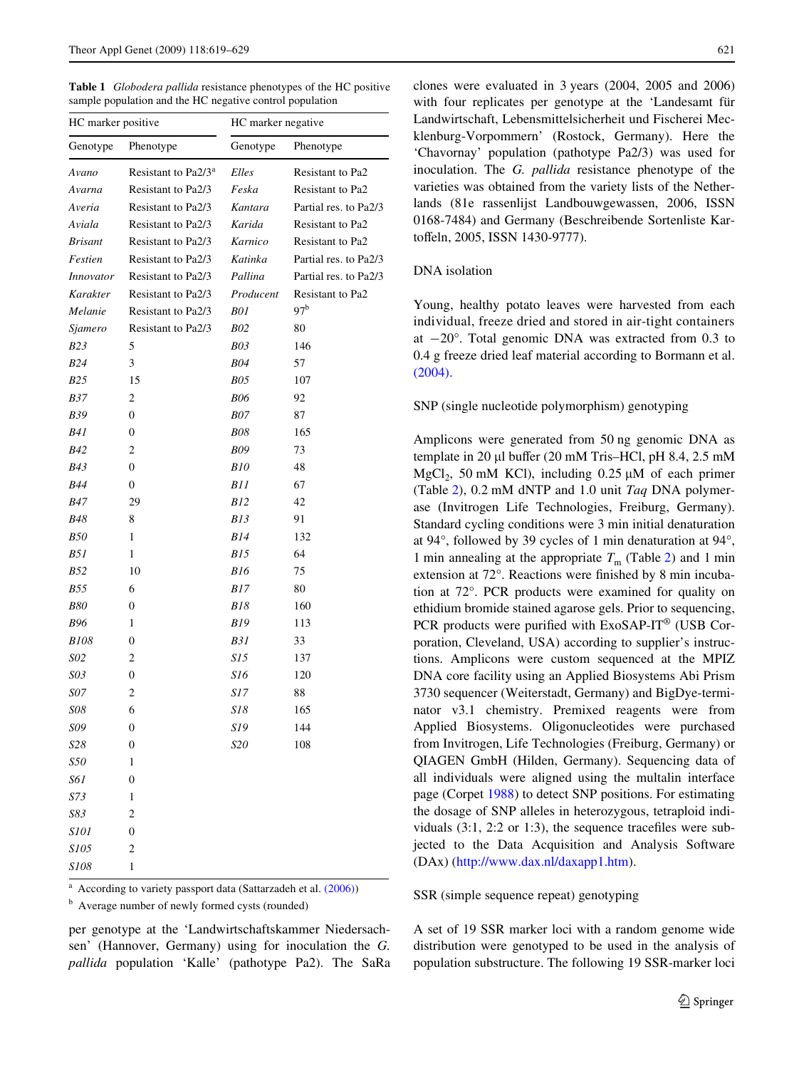<span id="page-2-0"></span>**Table 1** *Globodera pallida* resistance phenotypes of the HC positive sample population and the HC negative control population

| HC marker positive |                                 | HC marker negative |                       |  |
|--------------------|---------------------------------|--------------------|-----------------------|--|
| Genotype           | Phenotype                       | Genotype           | Phenotype             |  |
| Avano              | Resistant to Pa2/3 <sup>a</sup> | Elles              | Resistant to Pa2      |  |
| Avarna             | Resistant to Pa2/3              | Feska              | Resistant to Pa2      |  |
| Averia             | Resistant to Pa2/3              | Kantara            | Partial res. to Pa2/3 |  |
| Aviala             | Resistant to Pa2/3              | Karida             | Resistant to Pa2      |  |
| <b>Brisant</b>     | Resistant to Pa2/3              | Karnico            | Resistant to Pa2      |  |
| Festien            | Resistant to Pa2/3              | Katinka            | Partial res. to Pa2/3 |  |
| Innovator          | Resistant to Pa2/3              | Pallina            | Partial res. to Pa2/3 |  |
| Karakter           | Resistant to Pa2/3              | Producent          | Resistant to Pa2      |  |
| Melanie            | Resistant to Pa2/3              | <i>B01</i>         | 97 <sup>b</sup>       |  |
| Sjamero            | Resistant to Pa2/3              | <b>B02</b>         | 80                    |  |
| <b>B23</b>         | 5                               | <b>B03</b>         | 146                   |  |
| <b>B24</b>         | 3                               | <b>B04</b>         | 57                    |  |
| <b>B25</b>         | 15                              | <b>B05</b>         | 107                   |  |
| <b>B37</b>         | 2                               | <b>B06</b>         | 92                    |  |
| <b>B39</b>         | 0                               | B07                | 87                    |  |
| <i>B41</i>         | 0                               | <i>B08</i>         | 165                   |  |
| B42                | 2                               | B09                | 73                    |  |
| <b>B43</b>         | 0                               | <i>B10</i>         | 48                    |  |
| <b>B44</b>         | 0                               | B11                | 67                    |  |
| B47                | 29                              | <i>B12</i>         | 42                    |  |
| <b>B48</b>         | 8                               | B13                | 91                    |  |
| <i>B50</i>         | 1                               | <i>B14</i>         | 132                   |  |
| <i>B51</i>         | 1                               | B15                | 64                    |  |
| <b>B52</b>         | 10                              | <i>B16</i>         | 75                    |  |
| <b>B55</b>         | 6                               | <i>B17</i>         | 80                    |  |
| <b>B80</b>         | 0                               | <i>B18</i>         | 160                   |  |
| <b>B96</b>         | 1                               | <i>B19</i>         | 113                   |  |
| <i>B108</i>        | 0                               | B31                | 33                    |  |
| S02                | 2                               | S15                | 137                   |  |
| S03                | 0                               | S16                | 120                   |  |
| S07                | 2                               | S17                | 88                    |  |
| S08                | 6                               | <i>S18</i>         | 165                   |  |
| S09                | 0                               | S19                | 144                   |  |
| S28                | 0                               | S20                | 108                   |  |
| S50                | 1                               |                    |                       |  |
| S61                | 0                               |                    |                       |  |
| S73                | 1                               |                    |                       |  |
| S83                | 2                               |                    |                       |  |
| S101               | 0                               |                    |                       |  |
| S105               | $\overline{c}$                  |                    |                       |  |
| S108               | 1                               |                    |                       |  |

<sup>a</sup> According to variety passport data (Sattarzadeh et al. [\(2006\)\)](#page-9-6)

<sup>b</sup> Average number of newly formed cysts (rounded)

per genotype at the 'Landwirtschaftskammer Niedersachsen' (Hannover, Germany) using for inoculation the *G. pallida* population 'Kalle' (pathotype Pa2). The SaRa clones were evaluated in 3 years (2004, 2005 and 2006) with four replicates per genotype at the 'Landesamt für Landwirtschaft, Lebensmittelsicherheit und Fischerei Mecklenburg-Vorpommern' (Rostock, Germany). Here the 'Chavornay' population (pathotype Pa2/3) was used for inoculation. The *G. pallida* resistance phenotype of the varieties was obtained from the variety lists of the Netherlands (81e rassenlijst Landbouwgewassen, 2006, ISSN 0168-7484) and Germany (Beschreibende Sortenliste Kartoffeln, 2005, ISSN 1430-9777).

# DNA isolation

Young, healthy potato leaves were harvested from each individual, freeze dried and stored in air-tight containers at  $-20^\circ$ . Total genomic DNA was extracted from 0.3 to 0.4 g freeze dried leaf material according to Bormann et al. [\(2004\).](#page-9-12)

SNP (single nucleotide polymorphism) genotyping

Amplicons were generated from 50 ng genomic DNA as template in 20  $\mu$ l buffer (20 mM Tris–HCl, pH 8.4, 2.5 mM MgCl<sub>2</sub>, 50 mM KCl), including 0.25  $\mu$ M of each primer (Table [2\)](#page-3-0), 0.2 mM dNTP and 1.0 unit *Taq* DNA polymerase (Invitrogen Life Technologies, Freiburg, Germany). Standard cycling conditions were 3 min initial denaturation at 94°, followed by 39 cycles of 1 min denaturation at 94°, 1 min annealing at the appropriate  $T<sub>m</sub>$  (Table [2](#page-3-0)) and 1 min extension at 72°. Reactions were finished by 8 min incubation at 72°. PCR products were examined for quality on ethidium bromide stained agarose gels. Prior to sequencing, PCR products were purified with  $ExoSAP-IT^@$  (USB Corporation, Cleveland, USA) according to supplier's instructions. Amplicons were custom sequenced at the MPIZ DNA core facility using an Applied Biosystems Abi Prism 3730 sequencer (Weiterstadt, Germany) and BigDye-terminator v3.1 chemistry. Premixed reagents were from Applied Biosystems. Oligonucleotides were purchased from Invitrogen, Life Technologies (Freiburg, Germany) or QIAGEN GmbH (Hilden, Germany). Sequencing data of all individuals were aligned using the multalin interface page (Corpet [1988\)](#page-9-13) to detect SNP positions. For estimating the dosage of SNP alleles in heterozygous, tetraploid individuals  $(3:1, 2:2 \text{ or } 1:3)$ , the sequence tracefiles were subjected to the Data Acquisition and Analysis Software (DAx) (<http://www.dax.nl/daxapp1.htm>).

SSR (simple sequence repeat) genotyping

A set of 19 SSR marker loci with a random genome wide distribution were genotyped to be used in the analysis of population substructure. The following 19 SSR-marker loci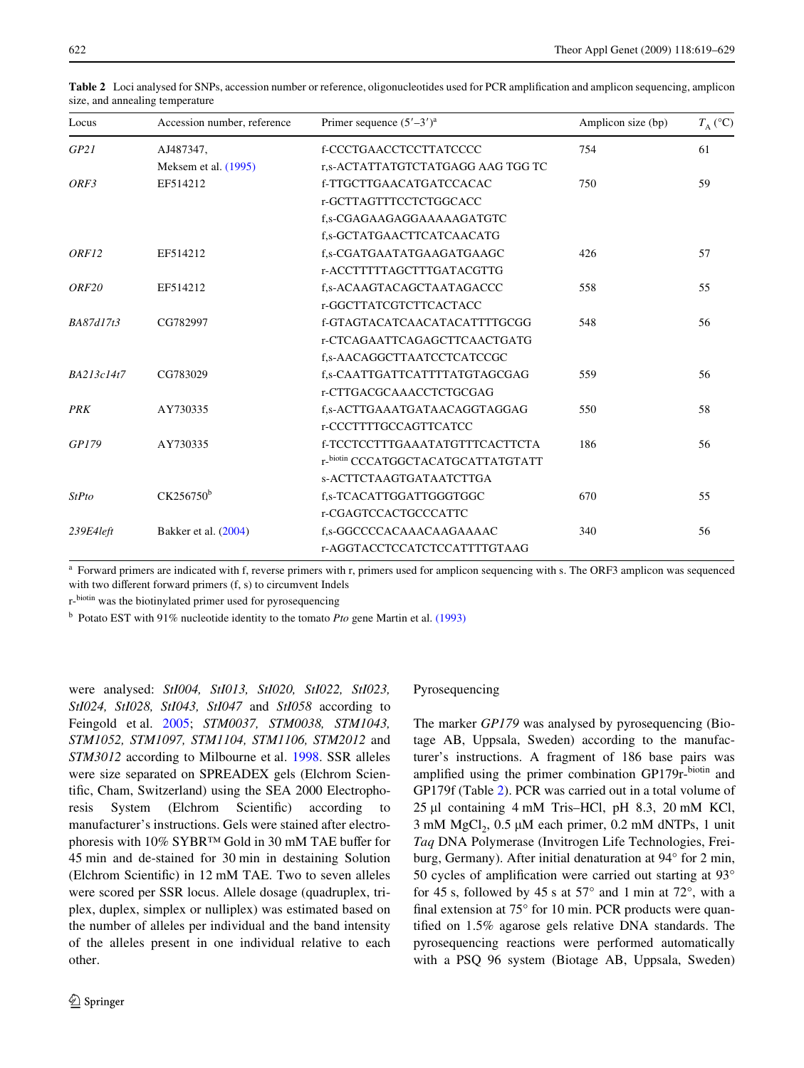| Locus             | Accession number, reference | Primer sequence $(5'-3')^a$        | Amplicon size (bp) | $T_{\rm A}$ (°C) |
|-------------------|-----------------------------|------------------------------------|--------------------|------------------|
| GP21              | AJ487347,                   | f-CCCTGAACCTCCTTATCCCC             | 754                | 61               |
|                   | Meksem et al. (1995)        | r, s-ACTATTATGTCTATGAGG AAG TGG TC |                    |                  |
| ORF3              | EF514212                    | f-TTGCTTGAACATGATCCACAC            | 750                | 59               |
|                   |                             | r-GCTTAGTTTCCTCTGGCACC             |                    |                  |
|                   |                             | f,s-CGAGAAGAGGAAAAAGATGTC          |                    |                  |
|                   |                             | f,s-GCTATGAACTTCATCAACATG          |                    |                  |
| ORF12             | EF514212                    | f,s-CGATGAATATGAAGATGAAGC          | 426                | 57               |
|                   |                             | r-ACCTTTTTAGCTTTGATACGTTG          |                    |                  |
| ORF <sub>20</sub> | EF514212                    | f,s-ACAAGTACAGCTAATAGACCC          | 558                | 55               |
|                   |                             | r-GGCTTATCGTCTTCACTACC             |                    |                  |
| BA87d17t3         | CG782997                    | f-GTAGTACATCAACATACATTTTGCGG       | 548                | 56               |
|                   |                             | r-CTCAGAATTCAGAGCTTCAACTGATG       |                    |                  |
|                   |                             | f,s-AACAGGCTTAATCCTCATCCGC         |                    |                  |
| BA213c14t7        | CG783029                    | f,s-CAATTGATTCATTTTATGTAGCGAG      | 559                | 56               |
|                   |                             | r-CTTGACGCAAACCTCTGCGAG            |                    |                  |
| <b>PRK</b>        | AY730335                    | f.s-ACTTGAAATGATAACAGGTAGGAG       | 550                | 58               |
|                   |                             | r-CCCTTTTGCCAGTTCATCC              |                    |                  |
| GP179             | AY730335                    | f-TCCTCCTTTGAAATATGTTTCACTTCTA     | 186                | 56               |
|                   |                             | r-biotin CCCATGGCTACATGCATTATGTATT |                    |                  |
|                   |                             | S-ACTTCTAAGTGATAATCTTGA            |                    |                  |
| StPto             | CK256750 <sup>b</sup>       | f,s-TCACATTGGATTGGGTGGC            | 670                | 55               |
|                   |                             | r-CGAGTCCACTGCCCATTC               |                    |                  |
| 239E4left         | Bakker et al. (2004)        | f,s-GGCCCCACAAACAAGAAAAC           | 340                | 56               |
|                   |                             | r-AGGTACCTCCATCTCCATTTTGTAAG       |                    |                  |

<span id="page-3-0"></span>Table 2 Loci analysed for SNPs, accession number or reference, oligonucleotides used for PCR amplification and amplicon sequencing, amplicon size, and annealing temperature

<sup>a</sup> Forward primers are indicated with f, reverse primers with r, primers used for amplicon sequencing with s. The ORF3 amplicon was sequenced with two different forward primers  $(f, s)$  to circumvent Indels

r-biotin was the biotinylated primer used for pyrosequencing

<sup>b</sup> Potato EST with 91% nucleotide identity to the tomato *Pto* gene Martin et al. [\(1993\)](#page-9-14)

were analysed: *StI004, StI013, StI020, StI022, StI023, StI024, StI028, StI043, StI047* and *StI058* according to Feingold et al. [2005;](#page-9-15) *STM0037, STM0038, STM1043, STM1052, STM1097, STM1104, STM1106, STM2012* and *STM3012* according to Milbourne et al. [1998](#page-9-16). SSR alleles were size separated on SPREADEX gels (Elchrom Scientific, Cham, Switzerland) using the SEA 2000 Electrophoresis System (Elchrom Scientific) according to manufacturer's instructions. Gels were stained after electrophoresis with 10% SYBR™ Gold in 30 mM TAE buffer for 45 min and de-stained for 30 min in destaining Solution (Elchrom Scientific) in 12 mM TAE. Two to seven alleles were scored per SSR locus. Allele dosage (quadruplex, triplex, duplex, simplex or nulliplex) was estimated based on the number of alleles per individual and the band intensity of the alleles present in one individual relative to each other.

# Pyrosequencing

The marker *GP179* was analysed by pyrosequencing (Biotage AB, Uppsala, Sweden) according to the manufacturer's instructions. A fragment of 186 base pairs was amplified using the primer combination GP179r-biotin and GP179f (Table [2](#page-3-0)). PCR was carried out in a total volume of  $25 \mu l$  containing 4 mM Tris–HCl, pH 8.3, 20 mM KCl,  $3 \text{ mM } MgCl<sub>2</sub>$ ,  $0.5 \mu M$  each primer,  $0.2 \text{ mM } dNTPs$ , 1 unit *Taq* DNA Polymerase (Invitrogen Life Technologies, Freiburg, Germany). After initial denaturation at 94° for 2 min, 50 cycles of amplification were carried out starting at  $93^\circ$ for 45 s, followed by 45 s at  $57^{\circ}$  and 1 min at  $72^{\circ}$ , with a final extension at  $75^{\circ}$  for 10 min. PCR products were quantified on  $1.5\%$  agarose gels relative DNA standards. The pyrosequencing reactions were performed automatically with a PSQ 96 system (Biotage AB, Uppsala, Sweden)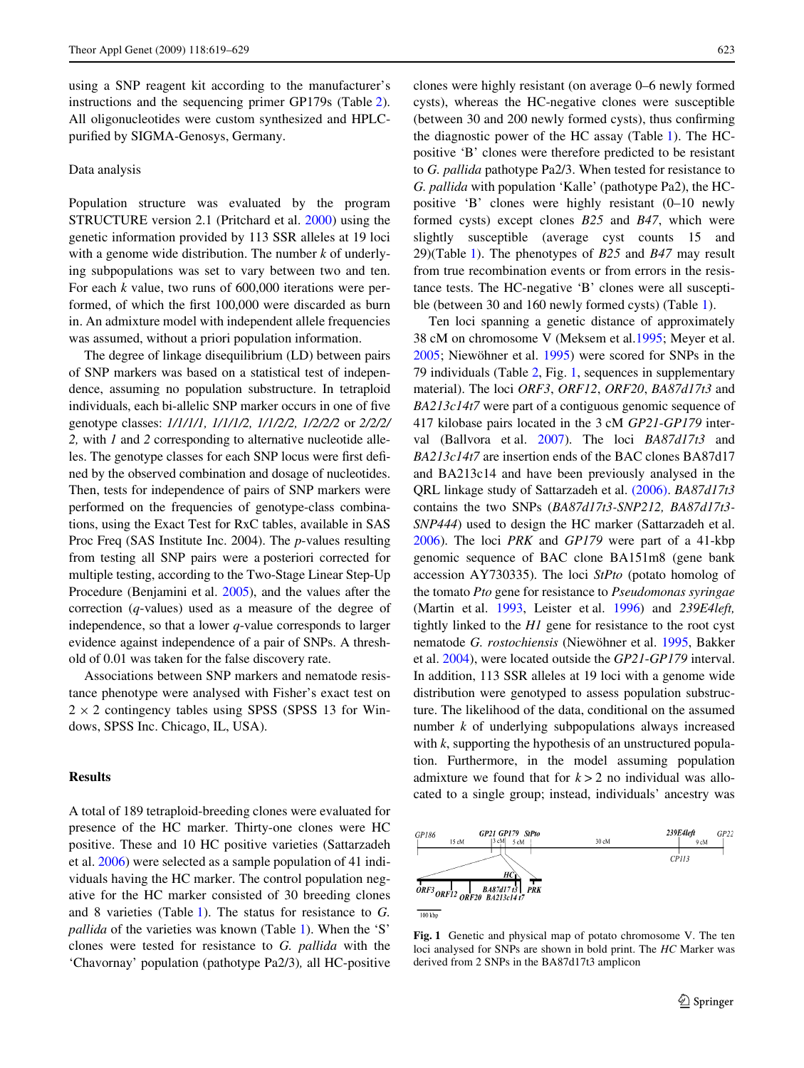using a SNP reagent kit according to the manufacturer's instructions and the sequencing primer GP179s (Table [2](#page-3-0)). All oligonucleotides were custom synthesized and HPLCpurified by SIGMA-Genosys, Germany.

### Data analysis

Population structure was evaluated by the program STRUCTURE version 2.1 (Pritchard et al. [2000\)](#page-9-17) using the genetic information provided by 113 SSR alleles at 19 loci with a genome wide distribution. The number *k* of underlying subpopulations was set to vary between two and ten. For each *k* value, two runs of 600,000 iterations were performed, of which the first 100,000 were discarded as burn in. An admixture model with independent allele frequencies was assumed, without a priori population information.

The degree of linkage disequilibrium (LD) between pairs of SNP markers was based on a statistical test of independence, assuming no population substructure. In tetraploid individuals, each bi-allelic SNP marker occurs in one of five genotype classes: *1/1/1/1, 1/1/1/2, 1/1/2/2, 1/2/2/2* or *2/2/2/ 2,* with *1* and *2* corresponding to alternative nucleotide alleles. The genotype classes for each SNP locus were first defined by the observed combination and dosage of nucleotides. Then, tests for independence of pairs of SNP markers were performed on the frequencies of genotype-class combinations, using the Exact Test for RxC tables, available in SAS Proc Freq (SAS Institute Inc. 2004). The *p*-values resulting from testing all SNP pairs were a posteriori corrected for multiple testing, according to the Two-Stage Linear Step-Up Procedure (Benjamini et al. [2005](#page-9-12)), and the values after the correction (*q*-values) used as a measure of the degree of independence, so that a lower *q*-value corresponds to larger evidence against independence of a pair of SNPs. A threshold of 0.01 was taken for the false discovery rate.

Associations between SNP markers and nematode resistance phenotype were analysed with Fisher's exact test on  $2 \times 2$  contingency tables using SPSS (SPSS 13 for Windows, SPSS Inc. Chicago, IL, USA).

## **Results**

A total of 189 tetraploid-breeding clones were evaluated for presence of the HC marker. Thirty-one clones were HC positive. These and 10 HC positive varieties (Sattarzadeh et al. [2006\)](#page-9-6) were selected as a sample population of 41 individuals having the HC marker. The control population negative for the HC marker consisted of 30 breeding clones and 8 varieties (Table [1\)](#page-2-0). The status for resistance to *G. pallida* of the varieties was known (Table [1\)](#page-2-0). When the 'S' clones were tested for resistance to *G. pallida* with the 'Chavornay' population (pathotype Pa2/3)*,* all HC-positive

clones were highly resistant (on average 0–6 newly formed cysts), whereas the HC-negative clones were susceptible  $(\text{between } 30 \text{ and } 200 \text{ newly formed cysts})$ , thus confirming the diagnostic power of the HC assay (Table [1\)](#page-2-0). The HCpositive 'B' clones were therefore predicted to be resistant to *G. pallida* pathotype Pa2/3. When tested for resistance to *G. pallida* with population 'Kalle' (pathotype Pa2), the HCpositive 'B' clones were highly resistant (0–10 newly formed cysts) except clones *B25* and *B47*, which were slightly susceptible (average cyst counts 15 and 29)(Table [1](#page-2-0)). The phenotypes of *B25* and *B47* may result from true recombination events or from errors in the resistance tests. The HC-negative 'B' clones were all susceptible (between 30 and 160 newly formed cysts) (Table [1\)](#page-2-0).

Ten loci spanning a genetic distance of approximately 38 cM on chromosome V (Meksem et al.[1995;](#page-9-7) Meyer et al. [2005](#page-9-18); Niewöhner et al. [1995](#page-9-19)) were scored for SNPs in the 79 individuals (Table [2,](#page-3-0) Fig. [1](#page-4-0), sequences in supplementary material). The loci *ORF3*, *ORF12*, *ORF20*, *BA87d17t3* and *BA213c14t7* were part of a contiguous genomic sequence of 417 kilobase pairs located in the 3 cM *GP21*-*GP179* interval (Ballvora et al. [2007](#page-9-9)). The loci *BA87d17t3* and *BA213c14t7* are insertion ends of the BAC clones BA87d17 and BA213c14 and have been previously analysed in the QRL linkage study of Sattarzadeh et al. [\(2006\)](#page-9-6). *BA87d17t3* contains the two SNPs (*BA87d17t3-SNP212, BA87d17t3- SNP444*) used to design the HC marker (Sattarzadeh et al. [2006](#page-9-6)). The loci *PRK* and *GP179* were part of a 41-kbp genomic sequence of BAC clone BA151m8 (gene bank accession AY730335). The loci *StPto* (potato homolog of the tomato *Pto* gene for resistance to *Pseudomonas syringae* (Martin et al. [1993](#page-9-14), Leister et al. [1996\)](#page-9-20) and *239E4left,* tightly linked to the *H1* gene for resistance to the root cyst nematode *G. rostochiensis* (Niewöhner et al. [1995,](#page-9-19) Bakker et al. [2004\)](#page-9-9), were located outside the *GP21*-*GP179* interval. In addition, 113 SSR alleles at 19 loci with a genome wide distribution were genotyped to assess population substructure. The likelihood of the data, conditional on the assumed number *k* of underlying subpopulations always increased with *k*, supporting the hypothesis of an unstructured population. Furthermore, in the model assuming population admixture we found that for *k* > 2 no individual was allocated to a single group; instead, individuals' ancestry was



<span id="page-4-0"></span>**Fig. 1** Genetic and physical map of potato chromosome V. The ten loci analysed for SNPs are shown in bold print. The *HC* Marker was derived from 2 SNPs in the BA87d17t3 amplicon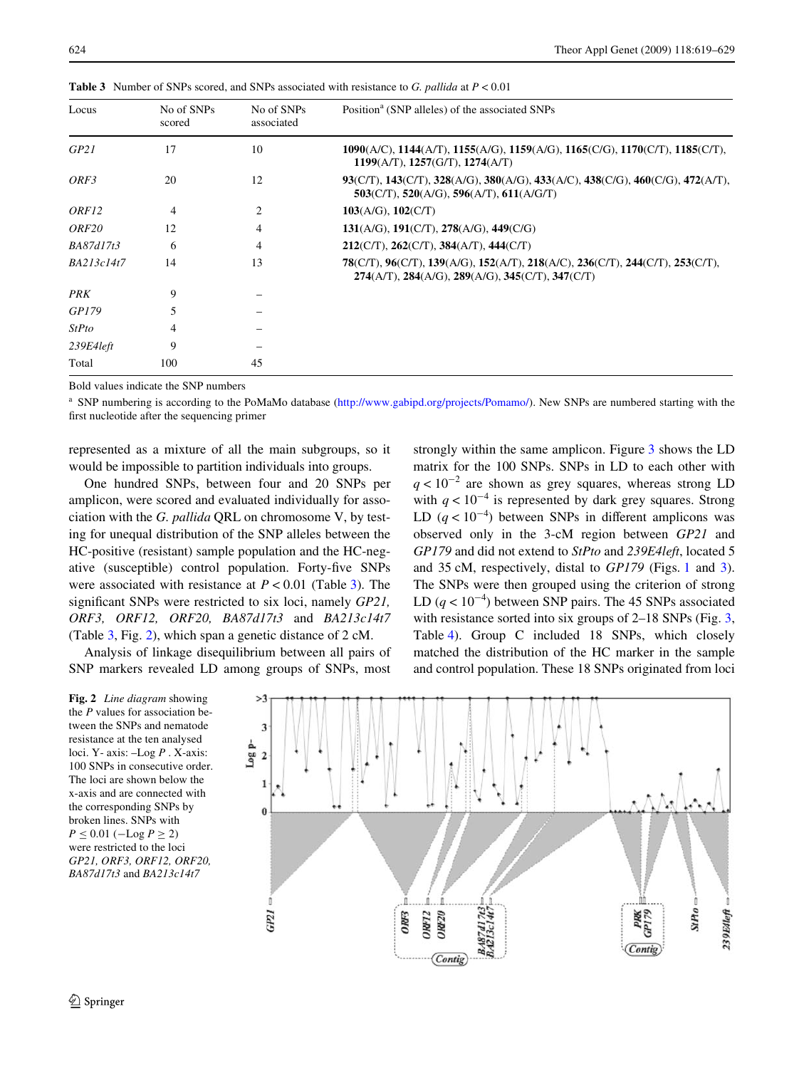| Locus             | No of SNPs<br>scored | No of SNPs<br>associated | Position <sup>a</sup> (SNP alleles) of the associated SNPs                                                                                                    |  |
|-------------------|----------------------|--------------------------|---------------------------------------------------------------------------------------------------------------------------------------------------------------|--|
| GP21              | 17                   | 10                       | 1090(A/C), 1144(A/T), 1155(A/G), 1159(A/G), 1165(C/G), 1170(C/T), 1185(C/T),<br>$1199(A/T)$ , $1257(G/T)$ , $1274(A/T)$                                       |  |
| ORF3              | 20                   | 12                       | $93(C/T)$ , $143(C/T)$ , $328(A/G)$ , $380(A/G)$ , $433(A/C)$ , $438(C/G)$ , $460(C/G)$ , $472(A/T)$ ,<br>$503(C/T)$ , $520(A/G)$ , $596(A/T)$ , $611(A/G/T)$ |  |
| ORF12             | 4                    |                          | $103(A/G)$ , $102(C/T)$                                                                                                                                       |  |
| ORF <sub>20</sub> | 12                   | 4                        | $131(A/G)$ , $191(C/T)$ , $278(A/G)$ , $449(C/G)$                                                                                                             |  |
| BA87d17t3         | 6                    | 4                        | $212(C/T)$ , $262(C/T)$ , $384(A/T)$ , $444(C/T)$                                                                                                             |  |
| BA213c14t7        | 14                   | 13                       | 78(C/T), 96(C/T), 139(A/G), 152(A/T), 218(A/C), 236(C/T), 244(C/T), 253(C/T),<br>$274(A/T)$ , $284(A/G)$ , $289(A/G)$ , $345(C/T)$ , $347(C/T)$               |  |
| <b>PRK</b>        | 9                    |                          |                                                                                                                                                               |  |
| GP179             | 5                    |                          |                                                                                                                                                               |  |
| StPto             | 4                    |                          |                                                                                                                                                               |  |
| 239E4left         | 9                    |                          |                                                                                                                                                               |  |
| Total             | 100                  | 45                       |                                                                                                                                                               |  |

<span id="page-5-0"></span>**Table 3** Number of SNPs scored, and SNPs associated with resistance to *G. pallida* at *P* < 0.01

Bold values indicate the SNP numbers

<sup>a</sup> SNP numbering is according to the PoMaMo database ([http://www.gabipd.org/projects/Pomamo/\)](http://www.gabipd.org/projects/Pomamo/). New SNPs are numbered starting with the first nucleotide after the sequencing primer

represented as a mixture of all the main subgroups, so it would be impossible to partition individuals into groups.

One hundred SNPs, between four and 20 SNPs per amplicon, were scored and evaluated individually for association with the *G. pallida* QRL on chromosome V, by testing for unequal distribution of the SNP alleles between the HC-positive (resistant) sample population and the HC-negative (susceptible) control population. Forty-five SNPs were associated with resistance at  $P < 0.01$  (Table [3](#page-5-0)). The significant SNPs were restricted to six loci, namely *GP21*, *ORF3, ORF12, ORF20, BA87d17t3* and *BA213c14t7* (Table [3,](#page-5-0) Fig. [2\)](#page-5-1), which span a genetic distance of 2 cM.

Analysis of linkage disequilibrium between all pairs of SNP markers revealed LD among groups of SNPs, most strongly within the same amplicon. Figure [3](#page-6-0) shows the LD matrix for the 100 SNPs. SNPs in LD to each other with  $q < 10^{-2}$  are shown as grey squares, whereas strong LD with  $q < 10^{-4}$  is represented by dark grey squares. Strong LD  $(q<10^{-4})$  between SNPs in different amplicons was observed only in the 3-cM region between *GP21* and *GP179* and did not extend to *StPto* and *239E4left*, located 5 and 35 cM, respectively, distal to *GP179* (Figs. [1](#page-4-0) and [3](#page-6-0)). The SNPs were then grouped using the criterion of strong LD  $(q<10^{-4})$  between SNP pairs. The 45 SNPs associated with resistance sorted into six groups of 2–18 SNPs (Fig. [3,](#page-6-0) Table [4](#page-7-0)). Group C included 18 SNPs, which closely matched the distribution of the HC marker in the sample and control population. These 18 SNPs originated from loci

<span id="page-5-1"></span>**Fig. 2** *Line diagram* showing the *P* values for association between the SNPs and nematode resistance at the ten analysed loci. Y- axis: –Log *P* . X-axis: 100 SNPs in consecutive order. The loci are shown below the x-axis and are connected with the corresponding SNPs by broken lines. SNPs with  $P \le 0.01$  ( $-\text{Log } P \ge 2$ ) were restricted to the loci *GP21, ORF3, ORF12, ORF20, BA87d17t3* and *BA213c14t7*

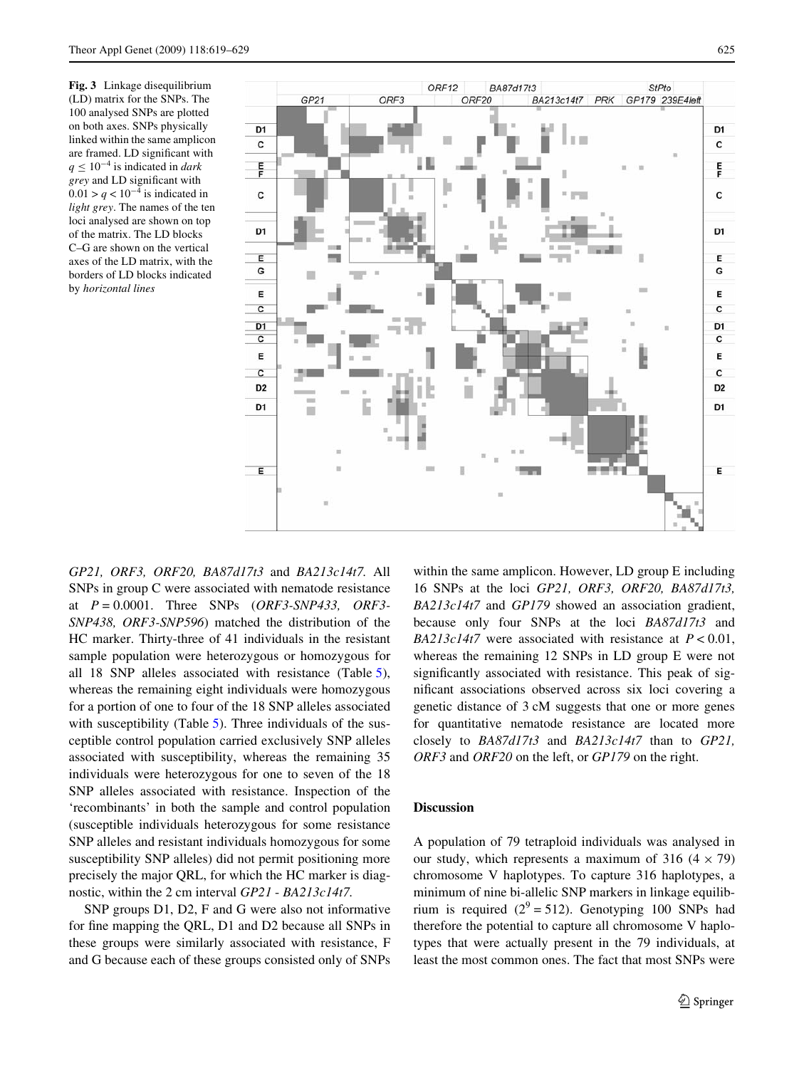<span id="page-6-0"></span>**Fig. 3** Linkage disequilibrium (LD) matrix for the SNPs. The 100 analysed SNPs are plotted on both axes. SNPs physically linked within the same amplicon are framed. LD significant with  $q \leq 10^{-4}$  is indicated in *dark grey* and LD significant with  $0.01 > q < 10^{-4}$  is indicated in *light grey*. The names of the ten loci analysed are shown on top of the matrix. The LD blocks C–G are shown on the vertical axes of the LD matrix, with the borders of LD blocks indicated by *horizontal lines*



*GP21, ORF3, ORF20, BA87d17t3* and *BA213c14t7.* All SNPs in group C were associated with nematode resistance at *P* = 0.0001. Three SNPs (*ORF3-SNP433, ORF3- SNP438, ORF3-SNP596*) matched the distribution of the HC marker. Thirty-three of 41 individuals in the resistant sample population were heterozygous or homozygous for all 18 SNP alleles associated with resistance (Table [5](#page-7-1)), whereas the remaining eight individuals were homozygous for a portion of one to four of the 18 SNP alleles associated with susceptibility (Table [5](#page-7-1)). Three individuals of the susceptible control population carried exclusively SNP alleles associated with susceptibility, whereas the remaining 35 individuals were heterozygous for one to seven of the 18 SNP alleles associated with resistance. Inspection of the 'recombinants' in both the sample and control population (susceptible individuals heterozygous for some resistance SNP alleles and resistant individuals homozygous for some susceptibility SNP alleles) did not permit positioning more precisely the major QRL, for which the HC marker is diagnostic, within the 2 cm interval *GP21* - *BA213c14t7.*

SNP groups D1, D2, F and G were also not informative for fine mapping the QRL, D1 and D2 because all SNPs in these groups were similarly associated with resistance, F and G because each of these groups consisted only of SNPs within the same amplicon. However, LD group E including 16 SNPs at the loci *GP21, ORF3, ORF20, BA87d17t3, BA213c14t7* and *GP179* showed an association gradient, because only four SNPs at the loci *BA87d17t3* and *BA213c14t7* were associated with resistance at *P* < 0.01, whereas the remaining 12 SNPs in LD group E were not significantly associated with resistance. This peak of significant associations observed across six loci covering a genetic distance of 3 cM suggests that one or more genes for quantitative nematode resistance are located more closely to *BA87d17t3* and *BA213c14t7* than to *GP21, ORF3* and *ORF20* on the left, or *GP179* on the right.

#### **Discussion**

A population of 79 tetraploid individuals was analysed in our study, which represents a maximum of 316  $(4 \times 79)$ chromosome V haplotypes. To capture 316 haplotypes, a minimum of nine bi-allelic SNP markers in linkage equilibrium is required  $(2^9 = 512)$ . Genotyping 100 SNPs had therefore the potential to capture all chromosome V haplotypes that were actually present in the 79 individuals, at least the most common ones. The fact that most SNPs were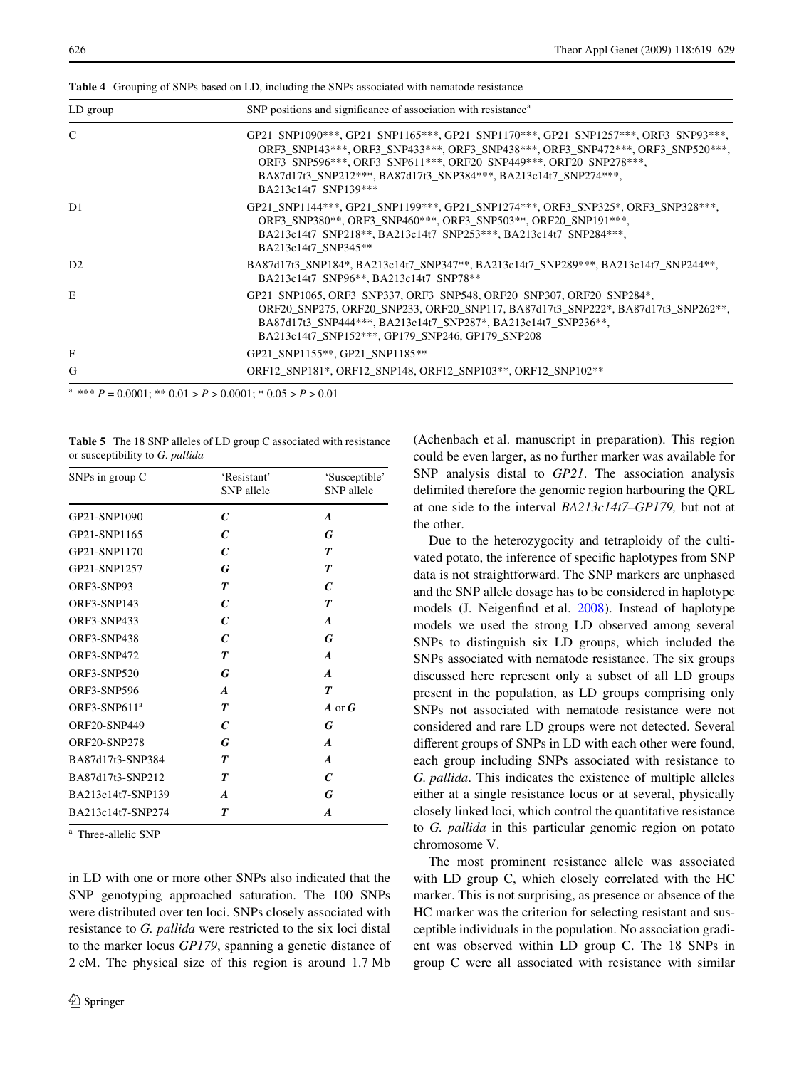| LD group     | SNP positions and significance of association with resistance <sup>a</sup>                                                                                                                                                                                                                                                            |  |
|--------------|---------------------------------------------------------------------------------------------------------------------------------------------------------------------------------------------------------------------------------------------------------------------------------------------------------------------------------------|--|
| $\mathsf{C}$ | GP21_SNP1090***, GP21_SNP1165***, GP21_SNP1170***, GP21_SNP1257***, ORF3_SNP93***,<br>ORF3 SNP143***, ORF3 SNP433***, ORF3 SNP438***, ORF3 SNP472***, ORF3 SNP520***,<br>ORF3_SNP596***, ORF3_SNP611***, ORF20_SNP449***, ORF20_SNP278***,<br>BA87d17t3_SNP212***, BA87d17t3_SNP384***, BA213c14t7_SNP274***,<br>BA213c14t7 SNP139*** |  |
| D1           | GP21 SNP1144***, GP21 SNP1199***, GP21 SNP1274***, ORF3 SNP325*, ORF3 SNP328***,<br>ORF3_SNP380**, ORF3_SNP460***, ORF3_SNP503**, ORF20_SNP191***,<br>BA213c14t7_SNP218**, BA213c14t7_SNP253***, BA213c14t7_SNP284***,<br>BA213c14t7 SNP345**                                                                                         |  |
| D2           | BA87d17t3_SNP184*, BA213c14t7_SNP347**, BA213c14t7_SNP289***, BA213c14t7_SNP244**,<br>BA213c14t7 SNP96**, BA213c14t7 SNP78**                                                                                                                                                                                                          |  |
| E            | GP21 SNP1065, ORF3 SNP337, ORF3 SNP548, ORF20 SNP307, ORF20 SNP284*,<br>ORF20 SNP275, ORF20 SNP233, ORF20 SNP117, BA87d17t3 SNP222*, BA87d17t3 SNP262**,<br>BA87d17t3_SNP444***, BA213c14t7_SNP287*, BA213c14t7_SNP236**,<br>BA213c14t7 SNP152***, GP179 SNP246, GP179 SNP208                                                         |  |
| F            | GP21 SNP1155**, GP21 SNP1185**                                                                                                                                                                                                                                                                                                        |  |
| G            | ORF12 SNP181*, ORF12 SNP148, ORF12 SNP103**, ORF12 SNP102**                                                                                                                                                                                                                                                                           |  |

<span id="page-7-0"></span>**Table 4** Grouping of SNPs based on LD, including the SNPs associated with nematode resistance

<sup>a</sup> \*\*\*  $P = 0.0001$ ; \*\*  $0.01 > P > 0.0001$ ; \*  $0.05 > P > 0.01$ 

<span id="page-7-1"></span>**Table 5** The 18 SNP alleles of LD group C associated with resistance or susceptibility to *G. pallida*

| SNPs in group C     | 'Resistant'<br>SNP allele   | 'Susceptible'<br>SNP allele |
|---------------------|-----------------------------|-----------------------------|
| GP21-SNP1090        | C                           | A                           |
| GP21-SNP1165        | $\mathcal{C}_{\mathcal{C}}$ | G                           |
| GP21-SNP1170        | $\mathcal{C}_{\mathcal{C}}$ | T                           |
| GP21-SNP1257        | G                           | $\boldsymbol{\tau}$         |
| ORF3-SNP93          | T                           | $\mathcal{C}$               |
| ORF3-SNP143         | $\mathcal{C}_{\mathcal{C}}$ | T                           |
| <b>ORF3-SNP433</b>  | $\mathcal C$                | $\boldsymbol{A}$            |
| ORF3-SNP438         | $\mathcal{C}_{\mathcal{C}}$ | G                           |
| ORF3-SNP472         | $\boldsymbol{\tau}$         | $\boldsymbol{A}$            |
| <b>ORF3-SNP520</b>  | G                           | A                           |
| ORF3-SNP596         | $\boldsymbol{A}$            | $\boldsymbol{T}$            |
| $ORF3-SNP611a$      | $\boldsymbol{\tau}$         | A or $G$                    |
| <b>ORF20-SNP449</b> | $\mathcal{C}_{\mathcal{C}}$ | G                           |
| <b>ORF20-SNP278</b> | G                           | $\boldsymbol{A}$            |
| BA87d17t3-SNP384    | $\boldsymbol{\tau}$         | $\boldsymbol{A}$            |
| BA87d17t3-SNP212    | $\boldsymbol{T}$            | $\mathcal{C}$               |
| BA213c14t7-SNP139   | $\boldsymbol{A}$            | G                           |
| BA213c14t7-SNP274   | $\boldsymbol{\tau}$         | A                           |

<sup>a</sup> Three-allelic SNP

in LD with one or more other SNPs also indicated that the SNP genotyping approached saturation. The 100 SNPs were distributed over ten loci. SNPs closely associated with resistance to *G. pallida* were restricted to the six loci distal to the marker locus *GP179*, spanning a genetic distance of 2 cM. The physical size of this region is around 1.7 Mb (Achenbach et al. manuscript in preparation). This region could be even larger, as no further marker was available for SNP analysis distal to *GP21*. The association analysis delimited therefore the genomic region harbouring the QRL at one side to the interval *BA213c14t7–GP179,* but not at the other.

Due to the heterozygocity and tetraploidy of the cultivated potato, the inference of specific haplotypes from SNP data is not straightforward. The SNP markers are unphased and the SNP allele dosage has to be considered in haplotype models (J. Neigenfind et al. [2008\)](#page-9-21). Instead of haplotype models we used the strong LD observed among several SNPs to distinguish six LD groups, which included the SNPs associated with nematode resistance. The six groups discussed here represent only a subset of all LD groups present in the population, as LD groups comprising only SNPs not associated with nematode resistance were not considered and rare LD groups were not detected. Several different groups of SNPs in LD with each other were found, each group including SNPs associated with resistance to *G. pallida*. This indicates the existence of multiple alleles either at a single resistance locus or at several, physically closely linked loci, which control the quantitative resistance to *G. pallida* in this particular genomic region on potato chromosome V.

The most prominent resistance allele was associated with LD group C, which closely correlated with the HC marker. This is not surprising, as presence or absence of the HC marker was the criterion for selecting resistant and susceptible individuals in the population. No association gradient was observed within LD group C. The 18 SNPs in group C were all associated with resistance with similar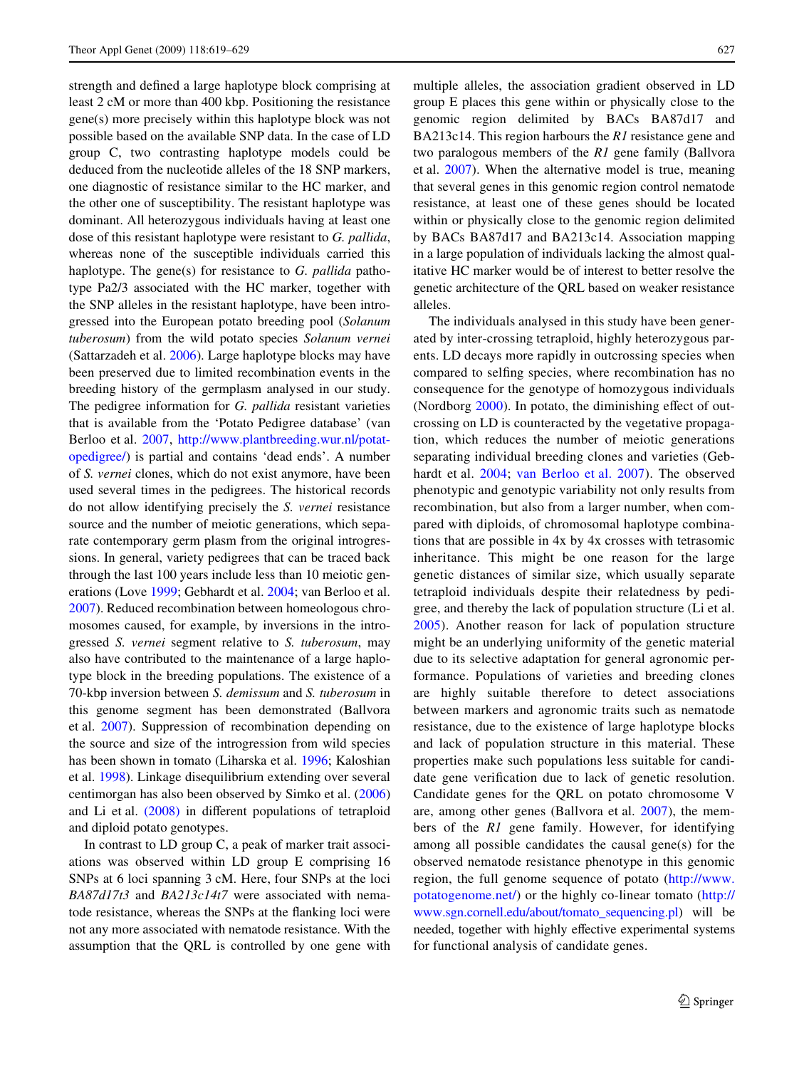strength and defined a large haplotype block comprising at least 2 cM or more than 400 kbp. Positioning the resistance gene(s) more precisely within this haplotype block was not possible based on the available SNP data. In the case of LD group C, two contrasting haplotype models could be deduced from the nucleotide alleles of the 18 SNP markers, one diagnostic of resistance similar to the HC marker, and the other one of susceptibility. The resistant haplotype was dominant. All heterozygous individuals having at least one dose of this resistant haplotype were resistant to *G. pallida*, whereas none of the susceptible individuals carried this haplotype. The gene(s) for resistance to *G. pallida* pathotype Pa2/3 associated with the HC marker, together with the SNP alleles in the resistant haplotype, have been introgressed into the European potato breeding pool (*Solanum tuberosum*) from the wild potato species *Solanum vernei* (Sattarzadeh et al. [2006\)](#page-9-6). Large haplotype blocks may have been preserved due to limited recombination events in the breeding history of the germplasm analysed in our study. The pedigree information for *G. pallida* resistant varieties that is available from the 'Potato Pedigree database' (van Berloo et al. [2007](#page-10-2), [http://www.plantbreeding.wur.nl/potat](http://www.plantbreeding.wur.nl/potatopedigree/)[opedigree/](http://www.plantbreeding.wur.nl/potatopedigree/)) is partial and contains 'dead ends'. A number of *S. vernei* clones, which do not exist anymore, have been used several times in the pedigrees. The historical records do not allow identifying precisely the *S. vernei* resistance source and the number of meiotic generations, which separate contemporary germ plasm from the original introgressions. In general, variety pedigrees that can be traced back through the last 100 years include less than 10 meiotic generations (Love [1999](#page-9-22); Gebhardt et al. [2004](#page-9-8); van Berloo et al. [2007](#page-10-2)). Reduced recombination between homeologous chromosomes caused, for example, by inversions in the introgressed *S. vernei* segment relative to *S. tuberosum*, may also have contributed to the maintenance of a large haplotype block in the breeding populations. The existence of a 70-kbp inversion between *S. demissum* and *S. tuberosum* in this genome segment has been demonstrated (Ballvora et al. [2007\)](#page-9-9). Suppression of recombination depending on the source and size of the introgression from wild species has been shown in tomato (Liharska et al. [1996;](#page-9-23) Kaloshian et al. [1998](#page-9-24)). Linkage disequilibrium extending over several centimorgan has also been observed by Simko et al. ([2006\)](#page-10-1) and Li et al.  $(2008)$  in different populations of tetraploid and diploid potato genotypes.

In contrast to LD group C, a peak of marker trait associations was observed within LD group E comprising 16 SNPs at 6 loci spanning 3 cM. Here, four SNPs at the loci *BA87d17t3* and *BA213c14t7* were associated with nematode resistance, whereas the SNPs at the flanking loci were not any more associated with nematode resistance. With the assumption that the QRL is controlled by one gene with multiple alleles, the association gradient observed in LD group E places this gene within or physically close to the genomic region delimited by BACs BA87d17 and BA213c14. This region harbours the *R1* resistance gene and two paralogous members of the *R1* gene family (Ballvora et al. [2007](#page-9-9)). When the alternative model is true, meaning that several genes in this genomic region control nematode resistance, at least one of these genes should be located within or physically close to the genomic region delimited by BACs BA87d17 and BA213c14. Association mapping in a large population of individuals lacking the almost qualitative HC marker would be of interest to better resolve the genetic architecture of the QRL based on weaker resistance alleles.

The individuals analysed in this study have been generated by inter-crossing tetraploid, highly heterozygous parents. LD decays more rapidly in outcrossing species when compared to selfing species, where recombination has no consequence for the genotype of homozygous individuals (Nordborg  $2000$ ). In potato, the diminishing effect of outcrossing on LD is counteracted by the vegetative propagation, which reduces the number of meiotic generations separating individual breeding clones and varieties (Gebhardt et al. [2004;](#page-9-8) [van Berloo et al. 2007\)](#page-10-2). The observed phenotypic and genotypic variability not only results from recombination, but also from a larger number, when compared with diploids, of chromosomal haplotype combinations that are possible in 4x by 4x crosses with tetrasomic inheritance. This might be one reason for the large genetic distances of similar size, which usually separate tetraploid individuals despite their relatedness by pedigree, and thereby the lack of population structure (Li et al. [2005\)](#page-9-27). Another reason for lack of population structure might be an underlying uniformity of the genetic material due to its selective adaptation for general agronomic performance. Populations of varieties and breeding clones are highly suitable therefore to detect associations between markers and agronomic traits such as nematode resistance, due to the existence of large haplotype blocks and lack of population structure in this material. These properties make such populations less suitable for candidate gene verification due to lack of genetic resolution. Candidate genes for the QRL on potato chromosome V are, among other genes (Ballvora et al. [2007\)](#page-9-9), the members of the *R1* gene family. However, for identifying among all possible candidates the causal gene(s) for the observed nematode resistance phenotype in this genomic region, the full genome sequence of potato ([http://www.](http://www.potatogenome.net/) [potatogenome.net/](http://www.potatogenome.net/)) or the highly co-linear tomato ([http://](http://www.gn.cornell.edu/about/tomato_sequencing.pl) [www.sgn.cornell.edu/about/tomato\\_sequencing.pl](http://www.gn.cornell.edu/about/tomato_sequencing.pl)) will be needed, together with highly effective experimental systems for functional analysis of candidate genes.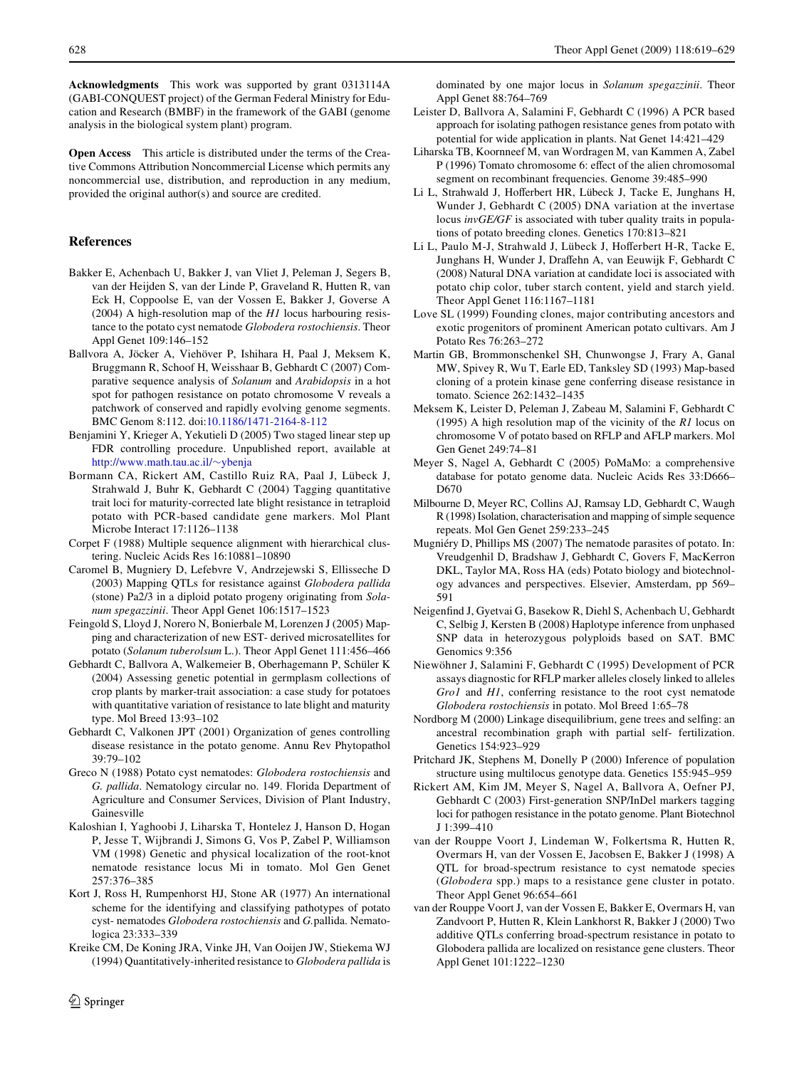**Acknowledgments** This work was supported by grant 0313114A (GABI-CONQUEST project) of the German Federal Ministry for Education and Research (BMBF) in the framework of the GABI (genome analysis in the biological system plant) program.

**Open Access** This article is distributed under the terms of the Creative Commons Attribution Noncommercial License which permits any noncommercial use, distribution, and reproduction in any medium, provided the original author(s) and source are credited.

## **References**

- <span id="page-9-9"></span>Bakker E, Achenbach U, Bakker J, van Vliet J, Peleman J, Segers B, van der Heijden S, van der Linde P, Graveland R, Hutten R, van Eck H, Coppoolse E, van der Vossen E, Bakker J, Goverse A (2004) A high-resolution map of the *H1* locus harbouring resistance to the potato cyst nematode *Globodera rostochiensis*. Theor Appl Genet 109:146–152
- Ballvora A, Jöcker A, Viehöver P, Ishihara H, Paal J, Meksem K, Bruggmann R, Schoof H, Weisshaar B, Gebhardt C (2007) Comparative sequence analysis of *Solanum* and *Arabidopsis* in a hot spot for pathogen resistance on potato chromosome V reveals a patchwork of conserved and rapidly evolving genome segments. BMC Genom 8:112. doi:[10.1186/1471-2164-8-112](http://dx.doi.org/10.1186/1471-2164-8-112)
- <span id="page-9-12"></span>Benjamini Y, Krieger A, Yekutieli D (2005) Two staged linear step up FDR controlling procedure. Unpublished report, available a[t](http://www.math.tau.ac.il/~ybenja) [http://www.math.tau.ac.il/](http://www.math.tau.ac.il/~ybenja)~ybenja
- <span id="page-9-5"></span>Bormann CA, Rickert AM, Castillo Ruiz RA, Paal J, Lübeck J, Strahwald J, Buhr K, Gebhardt C (2004) Tagging quantitative trait loci for maturity-corrected late blight resistance in tetraploid potato with PCR-based candidate gene markers. Mol Plant Microbe Interact 17:1126–1138
- <span id="page-9-13"></span>Corpet F (1988) Multiple sequence alignment with hierarchical clustering. Nucleic Acids Res 16:10881–10890
- Caromel B, Mugniery D, Lefebvre V, Andrzejewski S, Ellisseche D (2003) Mapping QTLs for resistance against *Globodera pallida* (stone) Pa2/3 in a diploid potato progeny originating from *Solanum spegazzinii*. Theor Appl Genet 106:1517–1523
- <span id="page-9-15"></span>Feingold S, Lloyd J, Norero N, Bonierbale M, Lorenzen J (2005) Mapping and characterization of new EST- derived microsatellites for potato (*Solanum tuberolsum* L.). Theor Appl Genet 111:456–466
- <span id="page-9-8"></span>Gebhardt C, Ballvora A, Walkemeier B, Oberhagemann P, Schüler K (2004) Assessing genetic potential in germplasm collections of crop plants by marker-trait association: a case study for potatoes with quantitative variation of resistance to late blight and maturity type. Mol Breed 13:93–102
- <span id="page-9-0"></span>Gebhardt C, Valkonen JPT (2001) Organization of genes controlling disease resistance in the potato genome. Annu Rev Phytopathol 39:79–102
- <span id="page-9-24"></span>Greco N (1988) Potato cyst nematodes: *Globodera rostochiensis* and *G. pallida*. Nematology circular no. 149. Florida Department of Agriculture and Consumer Services, Division of Plant Industry, Gainesville
- <span id="page-9-11"></span>Kaloshian I, Yaghoobi J, Liharska T, Hontelez J, Hanson D, Hogan P, Jesse T, Wijbrandi J, Simons G, Vos P, Zabel P, Williamson VM (1998) Genetic and physical localization of the root-knot nematode resistance locus Mi in tomato. Mol Gen Genet 257:376–385
- <span id="page-9-2"></span>Kort J, Ross H, Rumpenhorst HJ, Stone AR (1977) An international scheme for the identifying and classifying pathotypes of potato cyst- nematodes *Globodera rostochiensis* and *G.*pallida. Nematologica 23:333–339
- <span id="page-9-20"></span>Kreike CM, De Koning JRA, Vinke JH, Van Ooijen JW, Stiekema WJ (1994) Quantitatively-inherited resistance to *Globodera pallida* is

dominated by one major locus in *Solanum spegazzinii*. Theor Appl Genet 88:764–769

- <span id="page-9-23"></span>Leister D, Ballvora A, Salamini F, Gebhardt C (1996) A PCR based approach for isolating pathogen resistance genes from potato with potential for wide application in plants. Nat Genet 14:421–429
- <span id="page-9-27"></span>Liharska TB, Koornneef M, van Wordragen M, van Kammen A, Zabel P (1996) Tomato chromosome 6: effect of the alien chromosomal segment on recombinant frequencies. Genome 39:485–990
- <span id="page-9-25"></span>Li L, Strahwald J, Hofferbert HR, Lübeck J, Tacke E, Junghans H, Wunder J, Gebhardt C (2005) DNA variation at the invertase locus *invGE/GF* is associated with tuber quality traits in populations of potato breeding clones. Genetics 170:813–821
- <span id="page-9-22"></span>Li L, Paulo M-J, Strahwald J, Lübeck J, Hofferbert H-R, Tacke E, Junghans H, Wunder J, Draffehn A, van Eeuwijk F, Gebhardt C (2008) Natural DNA variation at candidate loci is associated with potato chip color, tuber starch content, yield and starch yield. Theor Appl Genet 116:1167–1181
- <span id="page-9-14"></span>Love SL (1999) Founding clones, major contributing ancestors and exotic progenitors of prominent American potato cultivars. Am J Potato Res 76:263–272
- <span id="page-9-7"></span>Martin GB, Brommonschenkel SH, Chunwongse J, Frary A, Ganal MW, Spivey R, Wu T, Earle ED, Tanksley SD (1993) Map-based cloning of a protein kinase gene conferring disease resistance in tomato. Science 262:1432–1435
- <span id="page-9-18"></span>Meksem K, Leister D, Peleman J, Zabeau M, Salamini F, Gebhardt C (1995) A high resolution map of the vicinity of the *R1* locus on chromosome V of potato based on RFLP and AFLP markers. Mol Gen Genet 249:74–81
- <span id="page-9-16"></span>Meyer S, Nagel A, Gebhardt C (2005) PoMaMo: a comprehensive database for potato genome data. Nucleic Acids Res 33:D666– D670
- <span id="page-9-1"></span>Milbourne D, Meyer RC, Collins AJ, Ramsay LD, Gebhardt C, Waugh R (1998) Isolation, characterisation and mapping of simple sequence repeats. Mol Gen Genet 259:233–245
- <span id="page-9-21"></span>Mugniéry D, Phillips MS (2007) The nematode parasites of potato. In: Vreudgenhil D, Bradshaw J, Gebhardt C, Govers F, MacKerron DKL, Taylor MA, Ross HA (eds) Potato biology and biotechnology advances and perspectives. Elsevier, Amsterdam, pp 569– 591
- <span id="page-9-19"></span>Neigenfind J, Gyetvai G, Basekow R, Diehl S, Achenbach U, Gebhardt C, Selbig J, Kersten B (2008) Haplotype inference from unphased SNP data in heterozygous polyploids based on SAT. BMC Genomics 9:356
- <span id="page-9-26"></span>Niewöhner J, Salamini F, Gebhardt C (1995) Development of PCR assays diagnostic for RFLP marker alleles closely linked to alleles *Gro1* and *H1*, conferring resistance to the root cyst nematode *Globodera rostochiensis* in potato. Mol Breed 1:65–78
- <span id="page-9-17"></span>Nordborg  $M$  (2000) Linkage disequilibrium, gene trees and selfing: an ancestral recombination graph with partial self- fertilization. Genetics 154:923–929
- <span id="page-9-10"></span>Pritchard JK, Stephens M, Donelly P (2000) Inference of population structure using multilocus genotype data. Genetics 155:945–959
- <span id="page-9-3"></span>Rickert AM, Kim JM, Meyer S, Nagel A, Ballvora A, Oefner PJ, Gebhardt C (2003) First-generation SNP/InDel markers tagging loci for pathogen resistance in the potato genome. Plant Biotechnol J 1:399–410
- <span id="page-9-4"></span>van der Rouppe Voort J, Lindeman W, Folkertsma R, Hutten R, Overmars H, van der Vossen E, Jacobsen E, Bakker J (1998) A QTL for broad-spectrum resistance to cyst nematode species (*Globodera* spp.) maps to a resistance gene cluster in potato. Theor Appl Genet 96:654–661
- <span id="page-9-6"></span>van der Rouppe Voort J, van der Vossen E, Bakker E, Overmars H, van Zandvoort P, Hutten R, Klein Lankhorst R, Bakker J (2000) Two additive QTLs conferring broad-spectrum resistance in potato to Globodera pallida are localized on resistance gene clusters. Theor Appl Genet 101:1222–1230